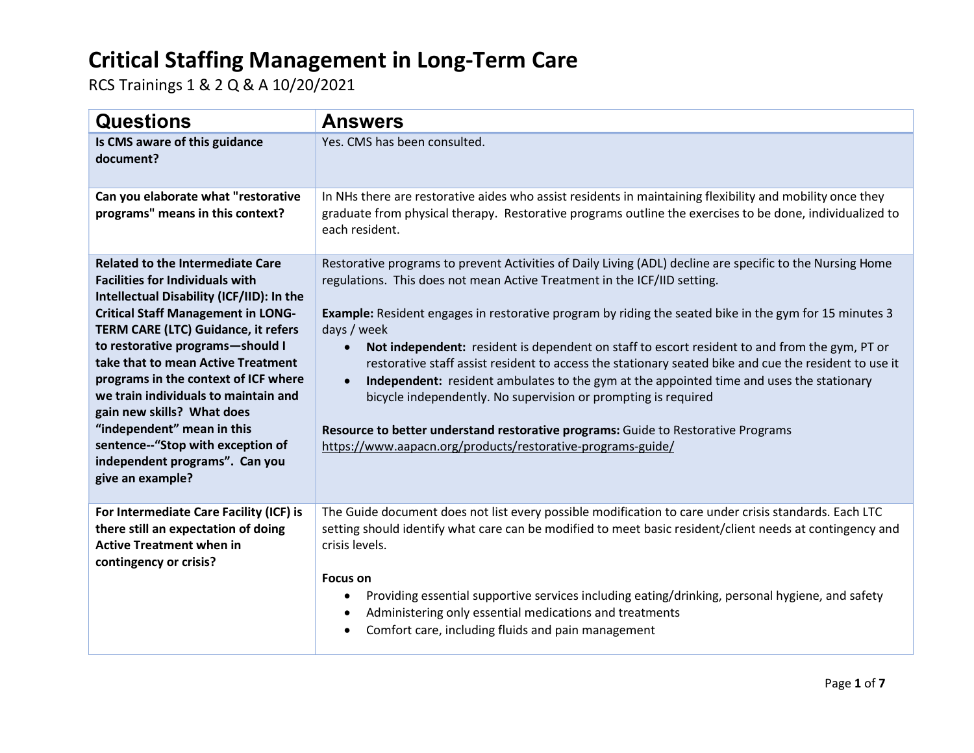| <b>Questions</b>                                                                                                                                                                                                                                                                                                                                                                                                                                                                                                                           | <b>Answers</b>                                                                                                                                                                                                                                                                                                                                                                                                                                                                                                                                                                                                                                                                                                                                                                                                                                                              |
|--------------------------------------------------------------------------------------------------------------------------------------------------------------------------------------------------------------------------------------------------------------------------------------------------------------------------------------------------------------------------------------------------------------------------------------------------------------------------------------------------------------------------------------------|-----------------------------------------------------------------------------------------------------------------------------------------------------------------------------------------------------------------------------------------------------------------------------------------------------------------------------------------------------------------------------------------------------------------------------------------------------------------------------------------------------------------------------------------------------------------------------------------------------------------------------------------------------------------------------------------------------------------------------------------------------------------------------------------------------------------------------------------------------------------------------|
| Is CMS aware of this guidance<br>document?                                                                                                                                                                                                                                                                                                                                                                                                                                                                                                 | Yes. CMS has been consulted.                                                                                                                                                                                                                                                                                                                                                                                                                                                                                                                                                                                                                                                                                                                                                                                                                                                |
| Can you elaborate what "restorative<br>programs" means in this context?                                                                                                                                                                                                                                                                                                                                                                                                                                                                    | In NHs there are restorative aides who assist residents in maintaining flexibility and mobility once they<br>graduate from physical therapy. Restorative programs outline the exercises to be done, individualized to<br>each resident.                                                                                                                                                                                                                                                                                                                                                                                                                                                                                                                                                                                                                                     |
| <b>Related to the Intermediate Care</b><br><b>Facilities for Individuals with</b><br>Intellectual Disability (ICF/IID): In the<br><b>Critical Staff Management in LONG-</b><br><b>TERM CARE (LTC) Guidance, it refers</b><br>to restorative programs-should I<br>take that to mean Active Treatment<br>programs in the context of ICF where<br>we train individuals to maintain and<br>gain new skills? What does<br>"independent" mean in this<br>sentence--"Stop with exception of<br>independent programs". Can you<br>give an example? | Restorative programs to prevent Activities of Daily Living (ADL) decline are specific to the Nursing Home<br>regulations. This does not mean Active Treatment in the ICF/IID setting.<br><b>Example:</b> Resident engages in restorative program by riding the seated bike in the gym for 15 minutes 3<br>days / week<br>Not independent: resident is dependent on staff to escort resident to and from the gym, PT or<br>$\bullet$<br>restorative staff assist resident to access the stationary seated bike and cue the resident to use it<br>Independent: resident ambulates to the gym at the appointed time and uses the stationary<br>$\bullet$<br>bicycle independently. No supervision or prompting is required<br>Resource to better understand restorative programs: Guide to Restorative Programs<br>https://www.aapacn.org/products/restorative-programs-guide/ |
| For Intermediate Care Facility (ICF) is<br>there still an expectation of doing<br><b>Active Treatment when in</b><br>contingency or crisis?                                                                                                                                                                                                                                                                                                                                                                                                | The Guide document does not list every possible modification to care under crisis standards. Each LTC<br>setting should identify what care can be modified to meet basic resident/client needs at contingency and<br>crisis levels.<br><b>Focus on</b><br>Providing essential supportive services including eating/drinking, personal hygiene, and safety<br>٠<br>Administering only essential medications and treatments<br>٠<br>Comfort care, including fluids and pain management<br>٠                                                                                                                                                                                                                                                                                                                                                                                   |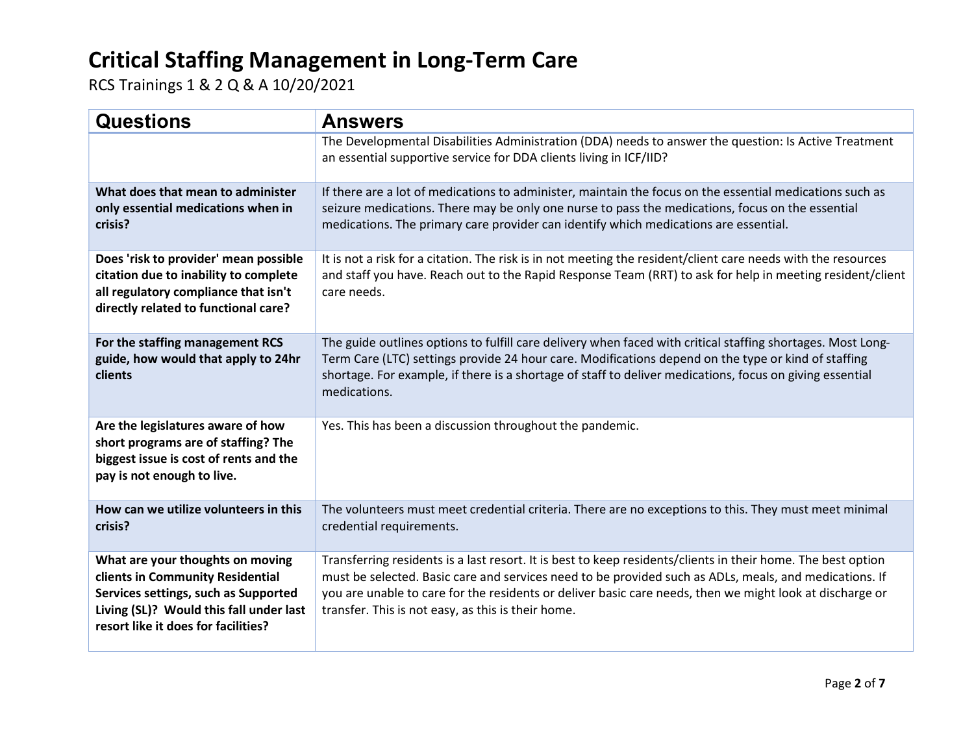| <b>Questions</b>                                                                                                                                                                               | <b>Answers</b>                                                                                                                                                                                                                                                                                                                                                                           |
|------------------------------------------------------------------------------------------------------------------------------------------------------------------------------------------------|------------------------------------------------------------------------------------------------------------------------------------------------------------------------------------------------------------------------------------------------------------------------------------------------------------------------------------------------------------------------------------------|
|                                                                                                                                                                                                | The Developmental Disabilities Administration (DDA) needs to answer the question: Is Active Treatment<br>an essential supportive service for DDA clients living in ICF/IID?                                                                                                                                                                                                              |
| What does that mean to administer<br>only essential medications when in<br>crisis?                                                                                                             | If there are a lot of medications to administer, maintain the focus on the essential medications such as<br>seizure medications. There may be only one nurse to pass the medications, focus on the essential<br>medications. The primary care provider can identify which medications are essential.                                                                                     |
| Does 'risk to provider' mean possible<br>citation due to inability to complete<br>all regulatory compliance that isn't<br>directly related to functional care?                                 | It is not a risk for a citation. The risk is in not meeting the resident/client care needs with the resources<br>and staff you have. Reach out to the Rapid Response Team (RRT) to ask for help in meeting resident/client<br>care needs.                                                                                                                                                |
| For the staffing management RCS<br>guide, how would that apply to 24hr<br>clients                                                                                                              | The guide outlines options to fulfill care delivery when faced with critical staffing shortages. Most Long-<br>Term Care (LTC) settings provide 24 hour care. Modifications depend on the type or kind of staffing<br>shortage. For example, if there is a shortage of staff to deliver medications, focus on giving essential<br>medications.                                           |
| Are the legislatures aware of how<br>short programs are of staffing? The<br>biggest issue is cost of rents and the<br>pay is not enough to live.                                               | Yes. This has been a discussion throughout the pandemic.                                                                                                                                                                                                                                                                                                                                 |
| How can we utilize volunteers in this<br>crisis?                                                                                                                                               | The volunteers must meet credential criteria. There are no exceptions to this. They must meet minimal<br>credential requirements.                                                                                                                                                                                                                                                        |
| What are your thoughts on moving<br>clients in Community Residential<br>Services settings, such as Supported<br>Living (SL)? Would this fall under last<br>resort like it does for facilities? | Transferring residents is a last resort. It is best to keep residents/clients in their home. The best option<br>must be selected. Basic care and services need to be provided such as ADLs, meals, and medications. If<br>you are unable to care for the residents or deliver basic care needs, then we might look at discharge or<br>transfer. This is not easy, as this is their home. |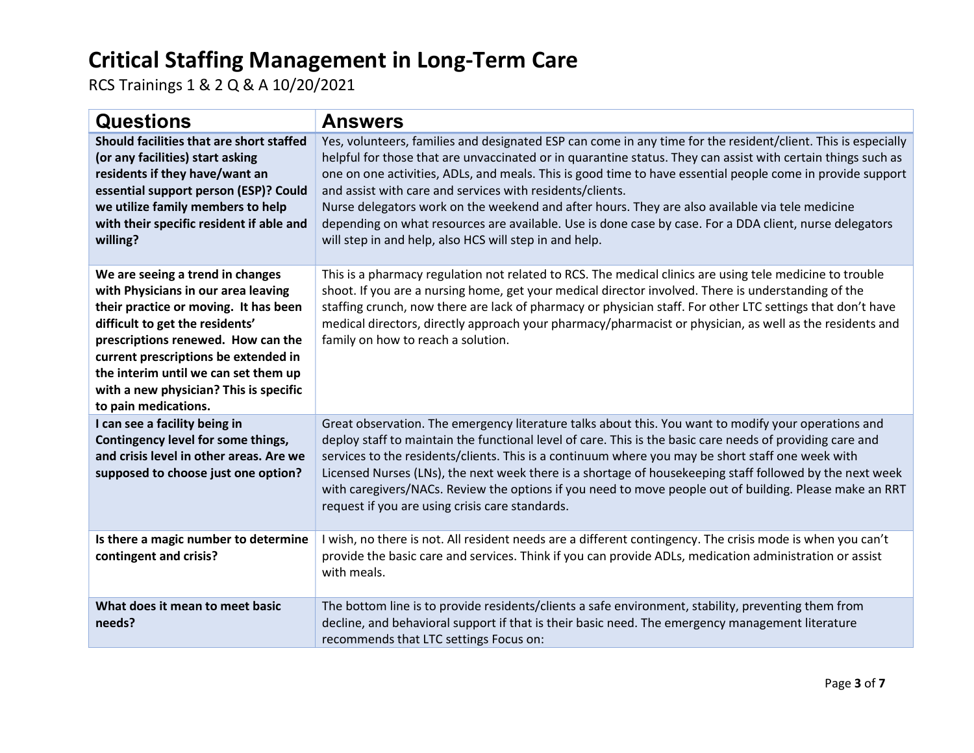| <b>Questions</b>                                                                                                                                                                                                                                                                                                                            | <b>Answers</b>                                                                                                                                                                                                                                                                                                                                                                                                                                                                                                                                                                                                                                                                   |
|---------------------------------------------------------------------------------------------------------------------------------------------------------------------------------------------------------------------------------------------------------------------------------------------------------------------------------------------|----------------------------------------------------------------------------------------------------------------------------------------------------------------------------------------------------------------------------------------------------------------------------------------------------------------------------------------------------------------------------------------------------------------------------------------------------------------------------------------------------------------------------------------------------------------------------------------------------------------------------------------------------------------------------------|
| Should facilities that are short staffed<br>(or any facilities) start asking<br>residents if they have/want an<br>essential support person (ESP)? Could<br>we utilize family members to help<br>with their specific resident if able and<br>willing?                                                                                        | Yes, volunteers, families and designated ESP can come in any time for the resident/client. This is especially<br>helpful for those that are unvaccinated or in quarantine status. They can assist with certain things such as<br>one on one activities, ADLs, and meals. This is good time to have essential people come in provide support<br>and assist with care and services with residents/clients.<br>Nurse delegators work on the weekend and after hours. They are also available via tele medicine<br>depending on what resources are available. Use is done case by case. For a DDA client, nurse delegators<br>will step in and help, also HCS will step in and help. |
| We are seeing a trend in changes<br>with Physicians in our area leaving<br>their practice or moving. It has been<br>difficult to get the residents'<br>prescriptions renewed. How can the<br>current prescriptions be extended in<br>the interim until we can set them up<br>with a new physician? This is specific<br>to pain medications. | This is a pharmacy regulation not related to RCS. The medical clinics are using tele medicine to trouble<br>shoot. If you are a nursing home, get your medical director involved. There is understanding of the<br>staffing crunch, now there are lack of pharmacy or physician staff. For other LTC settings that don't have<br>medical directors, directly approach your pharmacy/pharmacist or physician, as well as the residents and<br>family on how to reach a solution.                                                                                                                                                                                                  |
| I can see a facility being in<br>Contingency level for some things,<br>and crisis level in other areas. Are we<br>supposed to choose just one option?                                                                                                                                                                                       | Great observation. The emergency literature talks about this. You want to modify your operations and<br>deploy staff to maintain the functional level of care. This is the basic care needs of providing care and<br>services to the residents/clients. This is a continuum where you may be short staff one week with<br>Licensed Nurses (LNs), the next week there is a shortage of housekeeping staff followed by the next week<br>with caregivers/NACs. Review the options if you need to move people out of building. Please make an RRT<br>request if you are using crisis care standards.                                                                                 |
| Is there a magic number to determine<br>contingent and crisis?                                                                                                                                                                                                                                                                              | I wish, no there is not. All resident needs are a different contingency. The crisis mode is when you can't<br>provide the basic care and services. Think if you can provide ADLs, medication administration or assist<br>with meals.                                                                                                                                                                                                                                                                                                                                                                                                                                             |
| What does it mean to meet basic<br>needs?                                                                                                                                                                                                                                                                                                   | The bottom line is to provide residents/clients a safe environment, stability, preventing them from<br>decline, and behavioral support if that is their basic need. The emergency management literature<br>recommends that LTC settings Focus on:                                                                                                                                                                                                                                                                                                                                                                                                                                |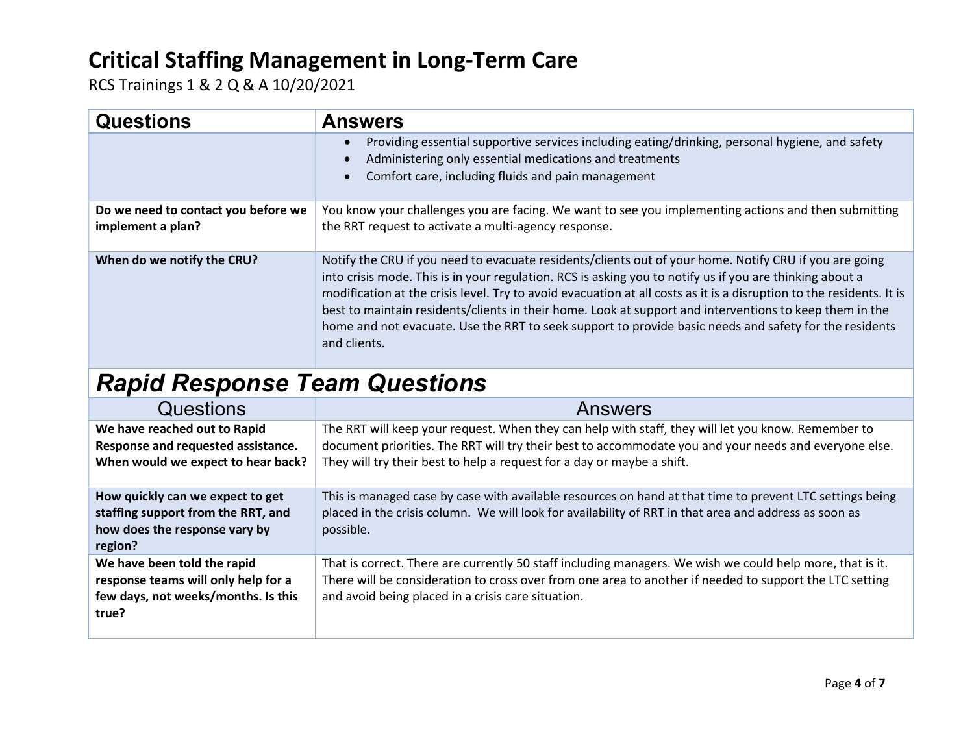RCS Trainings 1 & 2 Q & A 10/20/2021

| <b>Questions</b>                                         | <b>Answers</b>                                                                                                                                                                                                                                                                                                                                                                                                                                                                                                                                                                  |
|----------------------------------------------------------|---------------------------------------------------------------------------------------------------------------------------------------------------------------------------------------------------------------------------------------------------------------------------------------------------------------------------------------------------------------------------------------------------------------------------------------------------------------------------------------------------------------------------------------------------------------------------------|
|                                                          | Providing essential supportive services including eating/drinking, personal hygiene, and safety<br>$\bullet$<br>Administering only essential medications and treatments<br>$\bullet$<br>Comfort care, including fluids and pain management<br>$\bullet$                                                                                                                                                                                                                                                                                                                         |
| Do we need to contact you before we<br>implement a plan? | You know your challenges you are facing. We want to see you implementing actions and then submitting<br>the RRT request to activate a multi-agency response.                                                                                                                                                                                                                                                                                                                                                                                                                    |
| When do we notify the CRU?                               | Notify the CRU if you need to evacuate residents/clients out of your home. Notify CRU if you are going<br>into crisis mode. This is in your regulation. RCS is asking you to notify us if you are thinking about a<br>modification at the crisis level. Try to avoid evacuation at all costs as it is a disruption to the residents. It is<br>best to maintain residents/clients in their home. Look at support and interventions to keep them in the<br>home and not evacuate. Use the RRT to seek support to provide basic needs and safety for the residents<br>and clients. |

# Rapid Response Team Questions

| Questions                                                                                                          | Answers                                                                                                                                                                                                                                                                               |
|--------------------------------------------------------------------------------------------------------------------|---------------------------------------------------------------------------------------------------------------------------------------------------------------------------------------------------------------------------------------------------------------------------------------|
| We have reached out to Rapid<br>Response and requested assistance.<br>When would we expect to hear back?           | The RRT will keep your request. When they can help with staff, they will let you know. Remember to<br>document priorities. The RRT will try their best to accommodate you and your needs and everyone else.<br>They will try their best to help a request for a day or maybe a shift. |
| How quickly can we expect to get<br>staffing support from the RRT, and<br>how does the response vary by<br>region? | This is managed case by case with available resources on hand at that time to prevent LTC settings being<br>placed in the crisis column. We will look for availability of RRT in that area and address as soon as<br>possible.                                                        |
| We have been told the rapid<br>response teams will only help for a<br>few days, not weeks/months. Is this<br>true? | That is correct. There are currently 50 staff including managers. We wish we could help more, that is it.<br>There will be consideration to cross over from one area to another if needed to support the LTC setting<br>and avoid being placed in a crisis care situation.            |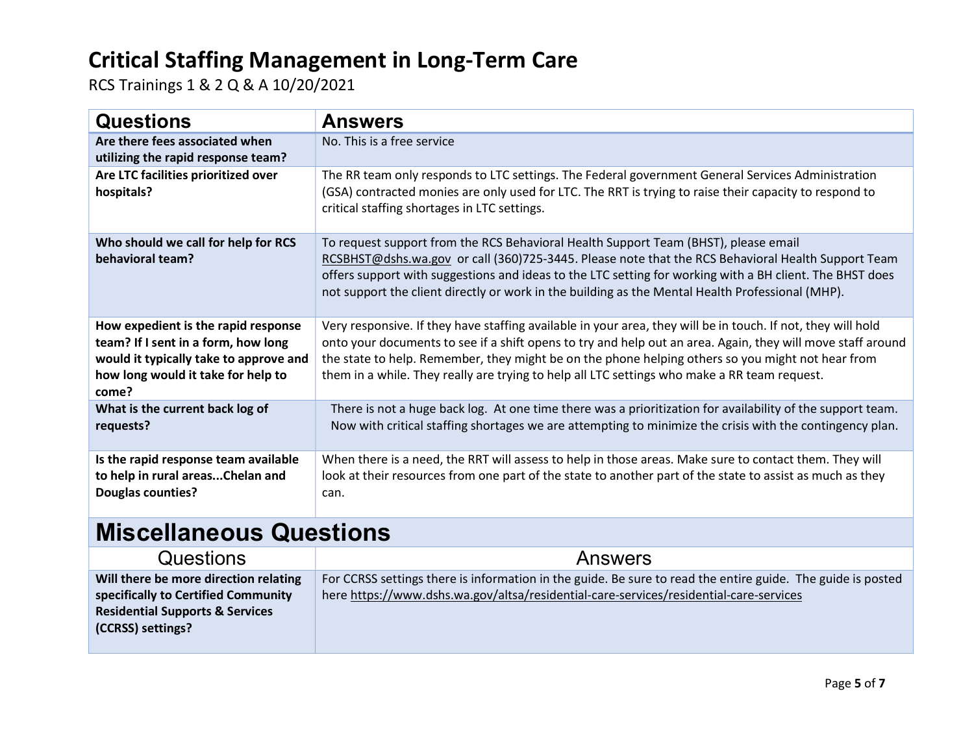RCS Trainings 1 & 2 Q & A 10/20/2021

| <b>Questions</b>                                                                                                                                                    | <b>Answers</b>                                                                                                                                                                                                                                                                                                                                                                                                                   |
|---------------------------------------------------------------------------------------------------------------------------------------------------------------------|----------------------------------------------------------------------------------------------------------------------------------------------------------------------------------------------------------------------------------------------------------------------------------------------------------------------------------------------------------------------------------------------------------------------------------|
| Are there fees associated when<br>utilizing the rapid response team?                                                                                                | No. This is a free service                                                                                                                                                                                                                                                                                                                                                                                                       |
| Are LTC facilities prioritized over<br>hospitals?                                                                                                                   | The RR team only responds to LTC settings. The Federal government General Services Administration<br>(GSA) contracted monies are only used for LTC. The RRT is trying to raise their capacity to respond to<br>critical staffing shortages in LTC settings.                                                                                                                                                                      |
| Who should we call for help for RCS<br>behavioral team?                                                                                                             | To request support from the RCS Behavioral Health Support Team (BHST), please email<br>RCSBHST@dshs.wa.gov or call (360)725-3445. Please note that the RCS Behavioral Health Support Team<br>offers support with suggestions and ideas to the LTC setting for working with a BH client. The BHST does<br>not support the client directly or work in the building as the Mental Health Professional (MHP).                        |
| How expedient is the rapid response<br>team? If I sent in a form, how long<br>would it typically take to approve and<br>how long would it take for help to<br>come? | Very responsive. If they have staffing available in your area, they will be in touch. If not, they will hold<br>onto your documents to see if a shift opens to try and help out an area. Again, they will move staff around<br>the state to help. Remember, they might be on the phone helping others so you might not hear from<br>them in a while. They really are trying to help all LTC settings who make a RR team request. |
| What is the current back log of<br>requests?                                                                                                                        | There is not a huge back log. At one time there was a prioritization for availability of the support team.<br>Now with critical staffing shortages we are attempting to minimize the crisis with the contingency plan.                                                                                                                                                                                                           |
| Is the rapid response team available<br>to help in rural areasChelan and<br><b>Douglas counties?</b>                                                                | When there is a need, the RRT will assess to help in those areas. Make sure to contact them. They will<br>look at their resources from one part of the state to another part of the state to assist as much as they<br>can.                                                                                                                                                                                                      |
| Miscallangous Questions                                                                                                                                             |                                                                                                                                                                                                                                                                                                                                                                                                                                  |

# Miscellaneous Questions

| <b>Questions</b>                           | Answers                                                                                                     |
|--------------------------------------------|-------------------------------------------------------------------------------------------------------------|
| Will there be more direction relating      | For CCRSS settings there is information in the guide. Be sure to read the entire guide. The guide is posted |
| specifically to Certified Community        | here https://www.dshs.wa.gov/altsa/residential-care-services/residential-care-services                      |
| <b>Residential Supports &amp; Services</b> |                                                                                                             |
| (CCRSS) settings?                          |                                                                                                             |
|                                            |                                                                                                             |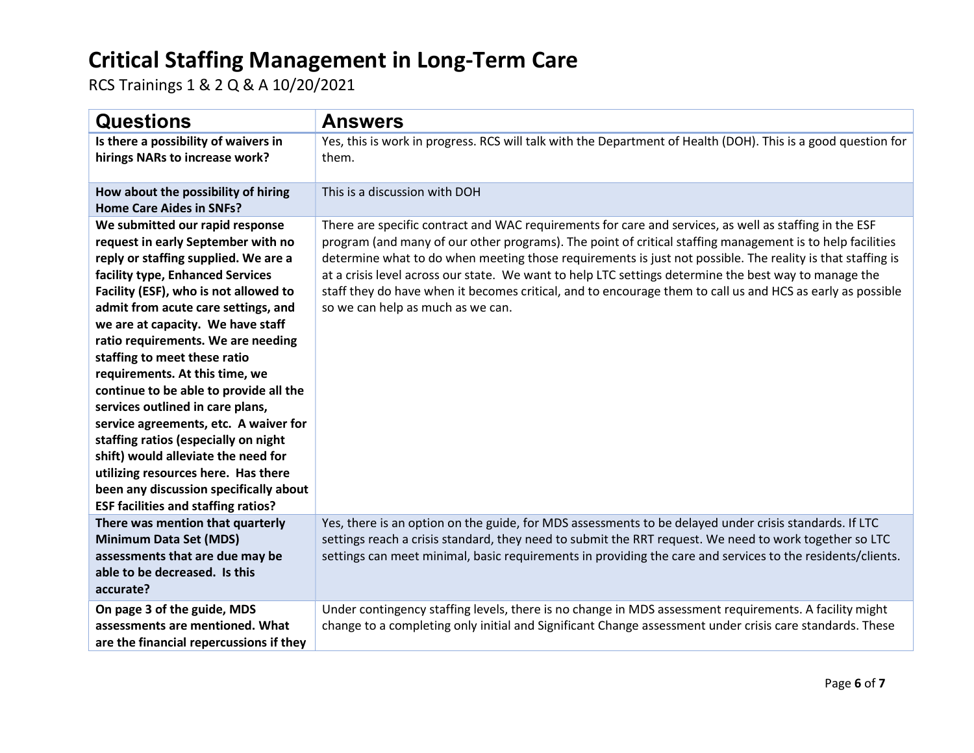| <b>Questions</b>                                                                                                                                                                                                                                                                                                                                                                                                                                                                                                                                                                                                                                                                                                    | <b>Answers</b>                                                                                                                                                                                                                                                                                                                                                                                                                                                                                                                                                                                |
|---------------------------------------------------------------------------------------------------------------------------------------------------------------------------------------------------------------------------------------------------------------------------------------------------------------------------------------------------------------------------------------------------------------------------------------------------------------------------------------------------------------------------------------------------------------------------------------------------------------------------------------------------------------------------------------------------------------------|-----------------------------------------------------------------------------------------------------------------------------------------------------------------------------------------------------------------------------------------------------------------------------------------------------------------------------------------------------------------------------------------------------------------------------------------------------------------------------------------------------------------------------------------------------------------------------------------------|
| Is there a possibility of waivers in<br>hirings NARs to increase work?                                                                                                                                                                                                                                                                                                                                                                                                                                                                                                                                                                                                                                              | Yes, this is work in progress. RCS will talk with the Department of Health (DOH). This is a good question for<br>them.                                                                                                                                                                                                                                                                                                                                                                                                                                                                        |
| How about the possibility of hiring<br><b>Home Care Aides in SNFs?</b>                                                                                                                                                                                                                                                                                                                                                                                                                                                                                                                                                                                                                                              | This is a discussion with DOH                                                                                                                                                                                                                                                                                                                                                                                                                                                                                                                                                                 |
| We submitted our rapid response<br>request in early September with no<br>reply or staffing supplied. We are a<br>facility type, Enhanced Services<br>Facility (ESF), who is not allowed to<br>admit from acute care settings, and<br>we are at capacity. We have staff<br>ratio requirements. We are needing<br>staffing to meet these ratio<br>requirements. At this time, we<br>continue to be able to provide all the<br>services outlined in care plans,<br>service agreements, etc. A waiver for<br>staffing ratios (especially on night<br>shift) would alleviate the need for<br>utilizing resources here. Has there<br>been any discussion specifically about<br><b>ESF facilities and staffing ratios?</b> | There are specific contract and WAC requirements for care and services, as well as staffing in the ESF<br>program (and many of our other programs). The point of critical staffing management is to help facilities<br>determine what to do when meeting those requirements is just not possible. The reality is that staffing is<br>at a crisis level across our state. We want to help LTC settings determine the best way to manage the<br>staff they do have when it becomes critical, and to encourage them to call us and HCS as early as possible<br>so we can help as much as we can. |
| There was mention that quarterly<br><b>Minimum Data Set (MDS)</b><br>assessments that are due may be<br>able to be decreased. Is this<br>accurate?                                                                                                                                                                                                                                                                                                                                                                                                                                                                                                                                                                  | Yes, there is an option on the guide, for MDS assessments to be delayed under crisis standards. If LTC<br>settings reach a crisis standard, they need to submit the RRT request. We need to work together so LTC<br>settings can meet minimal, basic requirements in providing the care and services to the residents/clients.                                                                                                                                                                                                                                                                |
| On page 3 of the guide, MDS<br>assessments are mentioned. What<br>are the financial repercussions if they                                                                                                                                                                                                                                                                                                                                                                                                                                                                                                                                                                                                           | Under contingency staffing levels, there is no change in MDS assessment requirements. A facility might<br>change to a completing only initial and Significant Change assessment under crisis care standards. These                                                                                                                                                                                                                                                                                                                                                                            |